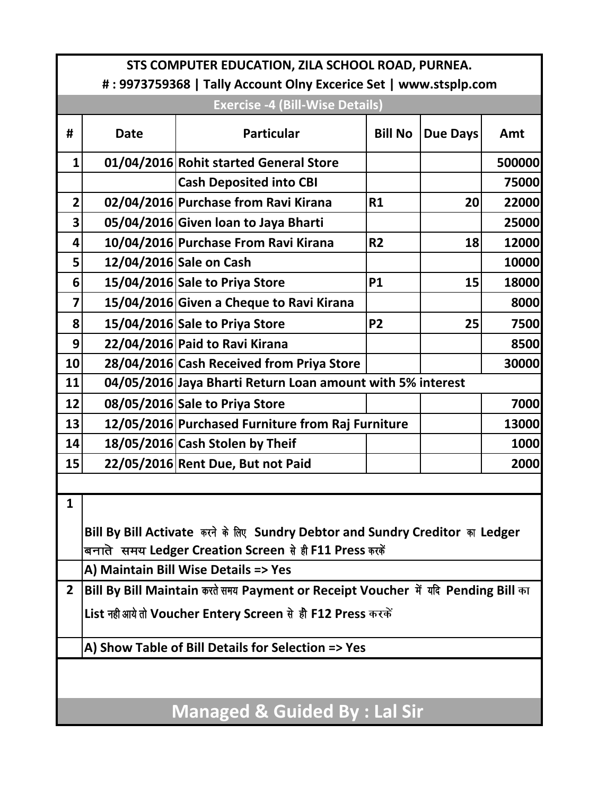| STS COMPUTER EDUCATION, ZILA SCHOOL ROAD, PURNEA.                |                                                                                                                                         |                                                            |                |                 |             |  |  |
|------------------------------------------------------------------|-----------------------------------------------------------------------------------------------------------------------------------------|------------------------------------------------------------|----------------|-----------------|-------------|--|--|
| #: 9973759368   Tally Account Olny Excerice Set   www.stsplp.com |                                                                                                                                         |                                                            |                |                 |             |  |  |
| <b>Exercise -4 (Bill-Wise Details)</b>                           |                                                                                                                                         |                                                            |                |                 |             |  |  |
| #                                                                | <b>Date</b>                                                                                                                             | <b>Particular</b>                                          | <b>Bill No</b> | <b>Due Days</b> | Amt         |  |  |
| 1                                                                |                                                                                                                                         | 01/04/2016 Rohit started General Store                     |                |                 | 500000      |  |  |
|                                                                  |                                                                                                                                         | <b>Cash Deposited into CBI</b>                             |                |                 | 75000       |  |  |
| $\overline{2}$                                                   |                                                                                                                                         | 02/04/2016 Purchase from Ravi Kirana                       | R1             | 20              | 22000       |  |  |
| 3                                                                |                                                                                                                                         | 05/04/2016 Given loan to Jaya Bharti                       |                |                 | 25000       |  |  |
| 4                                                                |                                                                                                                                         | 10/04/2016 Purchase From Ravi Kirana                       | R <sub>2</sub> | 18              | 12000       |  |  |
| 5                                                                |                                                                                                                                         | 12/04/2016 Sale on Cash                                    |                |                 | 10000       |  |  |
| 6                                                                |                                                                                                                                         | 15/04/2016 Sale to Priya Store                             | <b>P1</b>      | 15              | 18000       |  |  |
| 7                                                                |                                                                                                                                         | 15/04/2016 Given a Cheque to Ravi Kirana                   |                |                 | 8000        |  |  |
| 8                                                                |                                                                                                                                         | 15/04/2016 Sale to Priya Store                             | <b>P2</b>      | 25              | <b>7500</b> |  |  |
| 9                                                                |                                                                                                                                         | 22/04/2016 Paid to Ravi Kirana                             |                |                 | 8500        |  |  |
| 10                                                               |                                                                                                                                         | 28/04/2016 Cash Received from Priya Store                  |                |                 | 30000       |  |  |
| 11                                                               |                                                                                                                                         | 04/05/2016 Jaya Bharti Return Loan amount with 5% interest |                |                 |             |  |  |
| 12                                                               |                                                                                                                                         | 08/05/2016 Sale to Priya Store                             |                |                 | 7000        |  |  |
| 13                                                               |                                                                                                                                         | 12/05/2016 Purchased Furniture from Raj Furniture          |                |                 | 13000       |  |  |
| 14                                                               |                                                                                                                                         | 18/05/2016 Cash Stolen by Theif                            |                |                 | 1000        |  |  |
| 15                                                               |                                                                                                                                         | 22/05/2016 Rent Due, But not Paid                          |                |                 | 2000        |  |  |
|                                                                  |                                                                                                                                         |                                                            |                |                 |             |  |  |
| $1 \mid$                                                         |                                                                                                                                         |                                                            |                |                 |             |  |  |
|                                                                  |                                                                                                                                         |                                                            |                |                 |             |  |  |
|                                                                  | Bill By Bill Activate करने के लिए Sundry Debtor and Sundry Creditor का Ledger<br>बनाते समय Ledger Creation Screen से ही F11 Press करकें |                                                            |                |                 |             |  |  |
|                                                                  | A) Maintain Bill Wise Details => Yes                                                                                                    |                                                            |                |                 |             |  |  |
| $\overline{2}$                                                   | Bill By Bill Maintain करते समय Payment or Receipt Voucher में यदि Pending Bill का                                                       |                                                            |                |                 |             |  |  |
|                                                                  | List नही आये तो Voucher Entery Screen से ही F12 Press करकें                                                                             |                                                            |                |                 |             |  |  |
| A) Show Table of Bill Details for Selection => Yes               |                                                                                                                                         |                                                            |                |                 |             |  |  |
|                                                                  |                                                                                                                                         |                                                            |                |                 |             |  |  |
|                                                                  |                                                                                                                                         |                                                            |                |                 |             |  |  |
| <b>Managed &amp; Guided By: Lal Sir</b>                          |                                                                                                                                         |                                                            |                |                 |             |  |  |